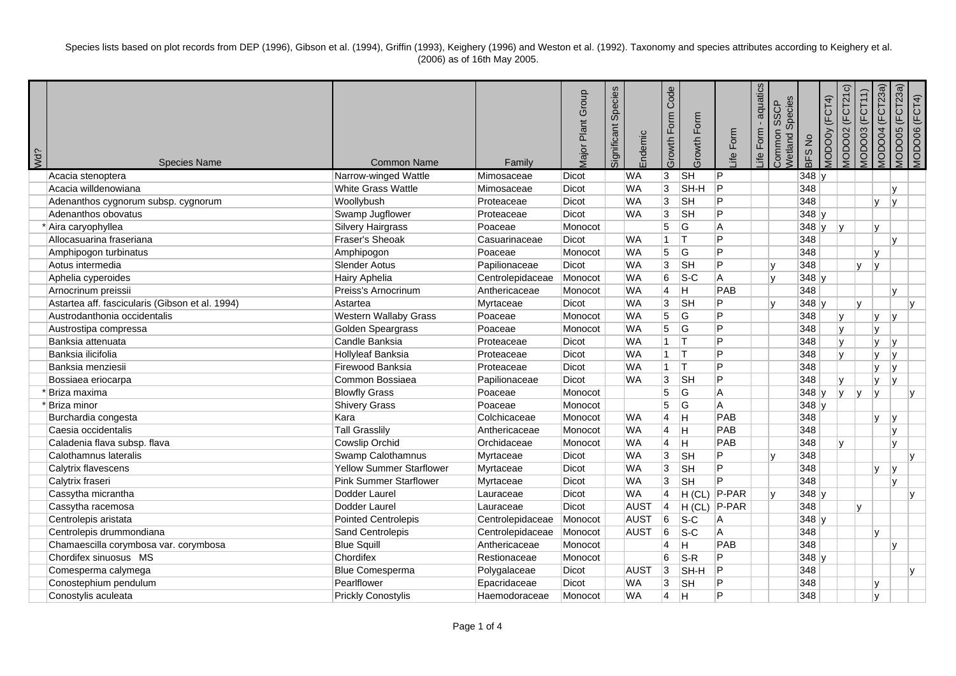Species lists based on plot records from DEP (1996), Gibson et al. (1994), Griffin (1993), Keighery (1996) and Weston et al. (1992). Taxonomy and species attributes according to Keighery et al. (2006) as of 16th May 2005.

| ¿PM | <b>Species Name</b>                             | <b>Common Name</b>              | Family           | Major Plant Group | Species<br>Significant | Endemic     | Code<br>Growth Form | Growth Form    | Life Form      | aquatics<br>life Form | Species<br><b>SSCP</b><br>Common<br>Netland | BFS No  | (FCT4)<br>MODOOy | (FCT21c)<br>VIODO02 | <b>MODO03 (FCT11)</b> | <b>MODO04</b> (FCT23a)<br>MODO05 (FCT23a) | <b>MODO06 (FCT4)</b> |
|-----|-------------------------------------------------|---------------------------------|------------------|-------------------|------------------------|-------------|---------------------|----------------|----------------|-----------------------|---------------------------------------------|---------|------------------|---------------------|-----------------------|-------------------------------------------|----------------------|
|     | Acacia stenoptera                               | Narrow-winged Wattle            | Mimosaceae       | Dicot             |                        | <b>WA</b>   | 3                   | <b>SH</b>      | $\overline{P}$ |                       |                                             | 348y    |                  |                     |                       |                                           |                      |
|     | Acacia willdenowiana                            | White Grass Wattle              | Mimosaceae       | Dicot             |                        | <b>WA</b>   | 3                   | SH-H           | P              |                       |                                             | 348     |                  |                     |                       | IV.                                       |                      |
|     | Adenanthos cygnorum subsp. cygnorum             | Woollybush                      | Proteaceae       | Dicot             |                        | <b>WA</b>   | $\overline{3}$      | <b>SH</b>      | P              |                       |                                             | 348     |                  |                     |                       | <b>V</b><br>l۷                            |                      |
|     | Adenanthos obovatus                             | Swamp Jugflower                 | Proteaceae       | <b>Dicot</b>      |                        | <b>WA</b>   | $\overline{3}$      | <b>SH</b>      | P              |                       |                                             | 348y    |                  |                     |                       |                                           |                      |
|     | Aira caryophyllea                               | <b>Silvery Hairgrass</b>        | Poaceae          | Monocot           |                        |             | $\overline{5}$      | $\overline{G}$ | $\overline{A}$ |                       |                                             | $348$ y |                  | v                   |                       | lv                                        |                      |
|     | Allocasuarina fraseriana                        | Fraser's Sheoak                 | Casuarinaceae    | Dicot             |                        | <b>WA</b>   | $\overline{1}$      | Iт             | P              |                       |                                             | 348     |                  |                     |                       | Iv.                                       |                      |
|     | Amphipogon turbinatus                           | Amphipogon                      | Poaceae          | Monocot           |                        | <b>WA</b>   | 5                   | G              | P              |                       |                                             | 348     |                  |                     | <b>V</b>              |                                           |                      |
|     | Aotus intermedia                                | <b>Slender Aotus</b>            | Papilionaceae    | Dicot             |                        | <b>WA</b>   | 3                   | <b>SH</b>      | P              |                       | v                                           | 348     |                  |                     | IV.                   | lv                                        |                      |
|     | Aphelia cyperoides                              | Hairy Aphelia                   | Centrolepidaceae | Monocot           |                        | <b>WA</b>   | $6\phantom{.}$      | $S-C$          | A              |                       | v                                           | $348$ y |                  |                     |                       |                                           |                      |
|     | Arnocrinum preissii                             | Preiss's Arnocrinum             | Anthericaceae    | Monocot           |                        | <b>WA</b>   | $\overline{4}$      | н              | PAB            |                       |                                             | 348     |                  |                     |                       | lv.                                       |                      |
|     | Astartea aff. fascicularis (Gibson et al. 1994) | Astartea                        | Myrtaceae        | <b>Dicot</b>      |                        | <b>WA</b>   | 3                   | <b>SH</b>      | P              |                       | $\mathsf{v}$                                | $348$ y |                  |                     | ١v                    |                                           | IV.                  |
|     | Austrodanthonia occidentalis                    | Western Wallaby Grass           | Poaceae          | Monocot           |                        | <b>WA</b>   | $\overline{5}$      | G              | P              |                       |                                             | 348     |                  | ly.                 |                       | ly.<br><sup>V</sup>                       |                      |
|     | Austrostipa compressa                           | Golden Speargrass               | Poaceae          | Monocot           |                        | <b>WA</b>   | 5                   | G              | P              |                       |                                             | 348     |                  | <b>V</b>            |                       | l٧                                        |                      |
|     | Banksia attenuata                               | Candle Banksia                  | Proteaceae       | Dicot             |                        | <b>WA</b>   | $\vert$ 1           | Iт             | $\overline{P}$ |                       |                                             | 348     |                  | <b>V</b>            |                       | lv.<br><sup>V</sup>                       |                      |
|     | Banksia ilicifolia                              | Hollyleaf Banksia               | Proteaceae       | Dicot             |                        | <b>WA</b>   | $\vert$ 1           | Iт             | P              |                       |                                             | 348     |                  | lv.                 |                       | l۷<br>IV.                                 |                      |
|     | Banksia menziesii                               | Firewood Banksia                | Proteaceae       | Dicot             |                        | <b>WA</b>   | $\mathbf{1}$        | lτ             | P              |                       |                                             | 348     |                  |                     |                       | Iv.<br>l۷                                 |                      |
|     | Bossiaea eriocarpa                              | Common Bossiaea                 | Papilionaceae    | Dicot             |                        | <b>WA</b>   | 3                   | <b>SH</b>      | P              |                       |                                             | 348     |                  | IV.                 |                       | Iv.<br>IV.                                |                      |
|     | Briza maxima                                    | <b>Blowfly Grass</b>            | Poaceae          | Monocot           |                        |             | $\overline{5}$      | G              | A              |                       |                                             | $348$ y |                  | y                   | y <br>I٧              |                                           | $\mathsf{v}$         |
|     | Briza minor                                     | <b>Shivery Grass</b>            | Poaceae          | Monocot           |                        |             | 5                   | G              | A              |                       |                                             | $348$ y |                  |                     |                       |                                           |                      |
|     | Burchardia congesta                             | Kara                            | Colchicaceae     | Monocot           |                        | <b>WA</b>   | $\overline{4}$      | lн             | PAB            |                       |                                             | 348     |                  |                     | <b>V</b>              | IV.                                       |                      |
|     | Caesia occidentalis                             | <b>Tall Grasslily</b>           | Anthericaceae    | Monocot           |                        | <b>WA</b>   | $\overline{4}$      | lн             | PAB            |                       |                                             | 348     |                  |                     |                       | IV.                                       |                      |
|     | Caladenia flava subsp. flava                    | Cowslip Orchid                  | Orchidaceae      | Monocot           |                        | <b>WA</b>   | $\overline{4}$      | H              | PAB            |                       |                                             | 348     |                  | <b>V</b>            |                       | Iv.                                       |                      |
|     | Calothamnus lateralis                           | Swamp Calothamnus               | Myrtaceae        | Dicot             |                        | <b>WA</b>   | 3                   | <b>SH</b>      | P              |                       | $\mathbf{v}$                                | 348     |                  |                     |                       |                                           | $\mathsf{V}$         |
|     | Calytrix flavescens                             | <b>Yellow Summer Starflower</b> | Myrtaceae        | Dicot             |                        | <b>WA</b>   | 3                   | <b>SH</b>      | P              |                       |                                             | 348     |                  |                     |                       | lv<br>IV.                                 |                      |
|     | Calytrix fraseri                                | <b>Pink Summer Starflower</b>   | Myrtaceae        | Dicot             |                        | <b>WA</b>   | $\overline{3}$      | <b>SH</b>      | P              |                       |                                             | 348     |                  |                     |                       | Iv.                                       |                      |
|     | Cassytha micrantha                              | Dodder Laurel                   | Lauraceae        | Dicot             |                        | <b>WA</b>   | $\overline{4}$      | H (CL) P-PAR   |                |                       | v                                           | $348$ y |                  |                     |                       |                                           | v                    |
|     | Cassytha racemosa                               | Dodder Laurel                   | Lauraceae        | Dicot             |                        | <b>AUST</b> | $\overline{4}$      | H (CL) P-PAR   |                |                       |                                             | 348     |                  |                     | ly.                   |                                           |                      |
|     | Centrolepis aristata                            | <b>Pointed Centrolepis</b>      | Centrolepidaceae | Monocot           |                        | <b>AUST</b> | 6                   | $S-C$          | Α              |                       |                                             | $348$ y |                  |                     |                       |                                           |                      |
|     | Centrolepis drummondiana                        | Sand Centrolepis                | Centrolepidaceae | Monocot           |                        | <b>AUST</b> | 6                   | $S-C$          | $\overline{A}$ |                       |                                             | 348     |                  |                     |                       | l٧                                        |                      |
|     | Chamaescilla corymbosa var. corymbosa           | <b>Blue Squill</b>              | Anthericaceae    | Monocot           |                        |             | $\overline{4}$      | H              | PAB            |                       |                                             | 348     |                  |                     |                       | IV.                                       |                      |
|     | Chordifex sinuosus MS                           | Chordifex                       | Restionaceae     | Monocot           |                        |             | 6                   | $S-R$          | P              |                       |                                             | $348$ y |                  |                     |                       |                                           |                      |
|     | Comesperma calymega                             | <b>Blue Comesperma</b>          | Polygalaceae     | <b>Dicot</b>      |                        | <b>AUST</b> | 3                   | SH-H           | P              |                       |                                             | 348     |                  |                     |                       |                                           | $\mathsf{V}$         |
|     | Conostephium pendulum                           | Pearlflower                     | Epacridaceae     | <b>Dicot</b>      |                        | WA          | 3                   | <b>SH</b>      | P              |                       |                                             | 348     |                  |                     |                       | I۷                                        |                      |
|     | Conostylis aculeata                             | <b>Prickly Conostylis</b>       | Haemodoraceae    | Monocot           |                        | <b>WA</b>   | $\overline{4}$      | н              | P              |                       |                                             | 348     |                  |                     |                       | lv                                        |                      |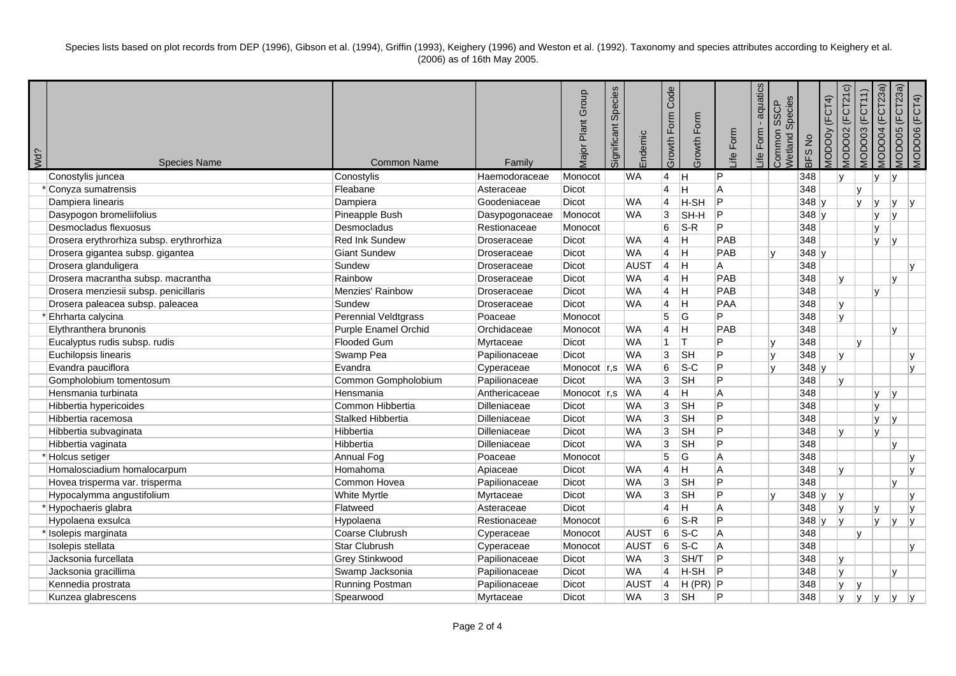Species lists based on plot records from DEP (1996), Gibson et al. (1994), Griffin (1993), Keighery (1996) and Weston et al. (1992). Taxonomy and species attributes according to Keighery et al. (2006) as of 16th May 2005.

| Wd? | <b>Species Name</b>                      | <b>Common Name</b>          | Family         | Major Plant Group   | Species<br>Significant | Endemic     | Code<br>Growth Form     | Growth Form | Form<br><u>ife</u> | aquatics<br>Form<br>≞i | Species<br><b>SSCP</b><br>Common<br><b>Vetland</b> | BFS No  | <b>MODOOY (FCT4)</b> | (FCT21c)<br>VIODO02 | <b>MODO03 (FCT11)</b> | <b>MODO04 (FCT23a)</b> | MODOO5 (FCT23a) | MODO06 (FCT4) |
|-----|------------------------------------------|-----------------------------|----------------|---------------------|------------------------|-------------|-------------------------|-------------|--------------------|------------------------|----------------------------------------------------|---------|----------------------|---------------------|-----------------------|------------------------|-----------------|---------------|
|     | Conostylis juncea                        | Conostylis                  | Haemodoraceae  | Monocot             |                        | <b>WA</b>   | $\overline{4}$          | IН          | P                  |                        |                                                    | 348     |                      | ۱v                  |                       | V <br>IV.              |                 |               |
|     | Conyza sumatrensis                       | Fleabane                    | Asteraceae     | Dicot               |                        |             | $\overline{4}$          | Η           | A                  |                        |                                                    | 348     |                      |                     | IV.                   |                        |                 |               |
|     | Dampiera linearis                        | Dampiera                    | Goodeniaceae   | <b>Dicot</b>        |                        | <b>WA</b>   | $\overline{4}$          | H-SH        | lP.                |                        |                                                    | $348$ y |                      |                     | IV.<br>lv.            | v                      | IV.             |               |
|     | Dasypogon bromeliifolius                 | Pineapple Bush              | Dasypogonaceae | Monocot             |                        | <b>WA</b>   | $\overline{3}$          | SH-H        | ∣P                 |                        |                                                    | 348 y   |                      |                     | IV.                   | v                      |                 |               |
|     | Desmocladus flexuosus                    | Desmocladus                 | Restionaceae   | Monocot             |                        |             | 6                       | $S-R$       | P                  |                        |                                                    | 348     |                      |                     | Iv.                   |                        |                 |               |
|     | Drosera erythrorhiza subsp. erythrorhiza | <b>Red Ink Sundew</b>       | Droseraceae    | <b>Dicot</b>        |                        | <b>WA</b>   | $\overline{4}$          | H           | PAB                |                        |                                                    | 348     |                      |                     | IV.                   | l V                    |                 |               |
|     | Drosera gigantea subsp. gigantea         | <b>Giant Sundew</b>         | Droseraceae    | <b>Dicot</b>        |                        | <b>WA</b>   | $\overline{4}$          | H           | PAB                |                        | $\mathsf{v}$                                       | $348$ y |                      |                     |                       |                        |                 |               |
|     | Drosera glanduligera                     | Sundew                      | Droseraceae    | <b>Dicot</b>        |                        | <b>AUST</b> | $\vert$ 4               | IН          | Α                  |                        |                                                    | 348     |                      |                     |                       |                        | $\mathsf{v}$    |               |
|     | Drosera macrantha subsp. macrantha       | Rainbow                     | Droseraceae    | <b>Dicot</b>        |                        | <b>WA</b>   | $\overline{4}$          | H           | PAB                |                        |                                                    | 348     |                      | $\mathsf{v}$        |                       | $\mathbf{v}$           |                 |               |
|     | Drosera menziesii subsp. penicillaris    | <b>Menzies' Rainbow</b>     | Droseraceae    | <b>Dicot</b>        |                        | <b>WA</b>   | $\overline{4}$          | Ħ           | PAB                |                        |                                                    | 348     |                      |                     | Iv.                   |                        |                 |               |
|     | Drosera paleacea subsp. paleacea         | Sundew                      | Droseraceae    | Dicot               |                        | <b>WA</b>   | $\overline{4}$          | Iн          | PAA                |                        |                                                    | 348     |                      | Iv.                 |                       |                        |                 |               |
|     | Ehrharta calycina                        | Perennial Veldtgrass        | Poaceae        | Monocot             |                        |             | 5                       | G           | P                  |                        |                                                    | 348     |                      | $\mathbf{v}$        |                       |                        |                 |               |
|     | Elythranthera brunonis                   | <b>Purple Enamel Orchid</b> | Orchidaceae    | Monocot             |                        | <b>WA</b>   | $\overline{4}$          | Iн.         | PAB                |                        |                                                    | 348     |                      |                     |                       | $\mathsf{v}$           |                 |               |
|     | Eucalyptus rudis subsp. rudis            | <b>Flooded Gum</b>          | Myrtaceae      | Dicot               |                        | <b>WA</b>   | $\overline{1}$          | İΤ          | P                  |                        | v                                                  | 348     |                      |                     | Iv.                   |                        |                 |               |
|     | Euchilopsis linearis                     | Swamp Pea                   | Papilionaceae  | Dicot               |                        | <b>WA</b>   | 3                       | <b>SH</b>   | P                  |                        | v                                                  | 348     |                      | $\mathsf{v}$        |                       |                        | <b>v</b>        |               |
|     | Evandra pauciflora                       | Evandra                     | Cyperaceae     | Monocot r,s         |                        | <b>WA</b>   | $6\overline{6}$         | $S-C$       | P                  |                        | $\mathsf{V}$                                       | 348 y   |                      |                     |                       |                        | IV.             |               |
|     | Gompholobium tomentosum                  | Common Gompholobium         | Papilionaceae  | <b>Dicot</b>        |                        | <b>WA</b>   | $\overline{3}$          | <b>SH</b>   | P                  |                        |                                                    | 348     |                      | l٧                  |                       |                        |                 |               |
|     | Hensmania turbinata                      | Hensmania                   | Anthericaceae  | Monocot $\vert$ r,s |                        | <b>WA</b>   | $\overline{4}$          | H           | A                  |                        |                                                    | 348     |                      |                     | IV.                   | ١v                     |                 |               |
|     | Hibbertia hypericoides                   | Common Hibbertia            | Dilleniaceae   | Dicot               |                        | <b>WA</b>   | 3                       | <b>SH</b>   | $\overline{P}$     |                        |                                                    | 348     |                      |                     | Iv.                   |                        |                 |               |
|     | Hibbertia racemosa                       | <b>Stalked Hibbertia</b>    | Dilleniaceae   | <b>Dicot</b>        |                        | <b>WA</b>   | $\overline{3}$          | <b>SH</b>   | P                  |                        |                                                    | 348     |                      |                     | Iv.                   | v                      |                 |               |
|     | Hibbertia subvaginata                    | Hibbertia                   | Dilleniaceae   | Dicot               |                        | <b>WA</b>   | $\overline{3}$          | <b>SH</b>   | $\overline{P}$     |                        |                                                    | 348     |                      | <b>v</b>            | Iv.                   |                        |                 |               |
|     | Hibbertia vaginata                       | Hibbertia                   | Dilleniaceae   | Dicot               |                        | <b>WA</b>   | $\overline{3}$          | <b>SH</b>   | P                  |                        |                                                    | 348     |                      |                     |                       | $\mathsf{v}$           |                 |               |
|     | * Holcus setiger                         | Annual Fog                  | Poaceae        | Monocot             |                        |             | $\overline{5}$          | G           | Α                  |                        |                                                    | 348     |                      |                     |                       |                        | $\mathsf{v}$    |               |
|     | Homalosciadium homalocarpum              | Homahoma                    | Apiaceae       | Dicot               |                        | <b>WA</b>   | $\overline{\mathbf{4}}$ | Η           | A                  |                        |                                                    | 348     |                      | $\mathsf{v}$        |                       |                        | v               |               |
|     | Hovea trisperma var. trisperma           | Common Hovea                | Papilionaceae  | Dicot               |                        | <b>WA</b>   | $\overline{3}$          | <b>SH</b>   | P                  |                        |                                                    | 348     |                      |                     |                       | $\mathbf{v}$           |                 |               |
|     | Hypocalymma angustifolium                | White Myrtle                | Myrtaceae      | <b>Dicot</b>        |                        | <b>WA</b>   | $\overline{3}$          | <b>SH</b>   | P                  |                        | v                                                  | $348$ y |                      | ۱v                  |                       |                        | v               |               |
|     | Hypochaeris glabra                       | Flatweed                    | Asteraceae     | Dicot               |                        |             | $\overline{4}$          | H           | A                  |                        |                                                    | 348     |                      | $\mathsf{v}$        | Iv.                   |                        | $\mathbf{v}$    |               |
|     | Hypolaena exsulca                        | Hypolaena                   | Restionaceae   | Monocot             |                        |             | 6                       | $S-R$       | P                  |                        |                                                    | 348y    |                      | lv                  | Iv.                   | $\mathsf{v}$           | $\mathsf{v}$    |               |
|     | Isolepis marginata                       | Coarse Clubrush             | Cyperaceae     | Monocot             |                        | <b>AUST</b> | $6\phantom{a}$          | $s-c$       | A                  |                        |                                                    | 348     |                      |                     | Iv.                   |                        |                 |               |
|     | Isolepis stellata                        | <b>Star Clubrush</b>        | Cyperaceae     | Monocot             |                        | <b>AUST</b> | 6                       | $s-c$       | A                  |                        |                                                    | 348     |                      |                     |                       |                        | $\mathsf{v}$    |               |
|     | Jacksonia furcellata                     | <b>Grey Stinkwood</b>       | Papilionaceae  | Dicot               |                        | <b>WA</b>   | 3                       | SH/T        | P                  |                        |                                                    | 348     |                      | l y                 |                       |                        |                 |               |
|     | Jacksonia gracillima                     | Swamp Jacksonia             | Papilionaceae  | <b>Dicot</b>        |                        | <b>WA</b>   | $\overline{4}$          | H-SH        | lP.                |                        |                                                    | 348     |                      | lv.                 |                       | v                      |                 |               |
|     | Kennedia prostrata                       | <b>Running Postman</b>      | Papilionaceae  | <b>Dicot</b>        |                        | <b>AUST</b> | $\overline{4}$          | $H(PR)$ P   |                    |                        |                                                    | 348     |                      | <b>V</b>            | l V                   |                        |                 |               |
|     | Kunzea glabrescens                       | Spearwood                   | Myrtaceae      | Dicot               |                        | <b>WA</b>   | 3                       | <b>SH</b>   | P                  |                        |                                                    | 348     |                      | l٧                  | l٧<br>IV.             | V                      | IV.             |               |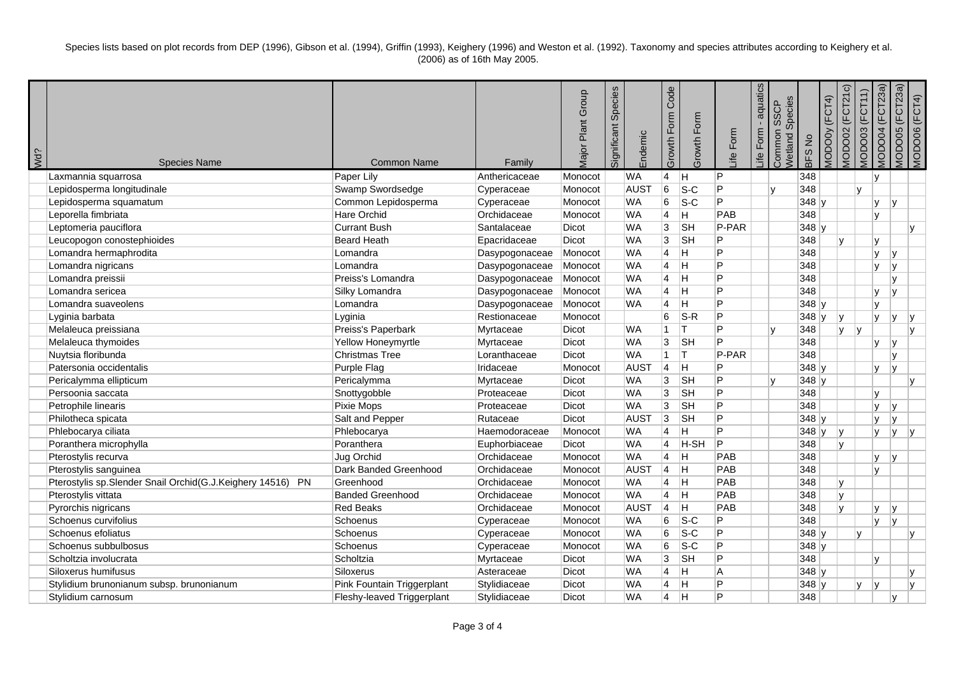Species lists based on plot records from DEP (1996), Gibson et al. (1994), Griffin (1993), Keighery (1996) and Weston et al. (1992). Taxonomy and species attributes according to Keighery et al. (2006) as of 16th May 2005.

| Vd? | <b>Species Name</b>                                        | <b>Common Name</b>         | Family         | Major Plant Group | Species<br>Significant | Endemic     | Code<br>Form<br>Growth | Growth Form             | Life Form | aquatics<br>Form<br>Life | Species<br><b>SSCP</b><br>Common <sup>:</sup><br>Wetland | BFS No  | MODOOy (FCT4) | (FCT21c)<br>MODO02 | <b>MODO03 (FCT11)</b> | <b>MODO04 (FCT23a)</b>   | MODOO5 (FCT23a) | MODO06 (FCT4) |
|-----|------------------------------------------------------------|----------------------------|----------------|-------------------|------------------------|-------------|------------------------|-------------------------|-----------|--------------------------|----------------------------------------------------------|---------|---------------|--------------------|-----------------------|--------------------------|-----------------|---------------|
|     | Laxmannia squarrosa                                        | Paper Lily                 | Anthericaceae  | Monocot           |                        | <b>WA</b>   | $\overline{4}$         | H                       | P         |                          |                                                          | 348     |               |                    |                       | Iv.                      |                 |               |
|     | Lepidosperma longitudinale                                 | Swamp Swordsedge           | Cyperaceae     | Monocot           |                        | AUST        | $6\overline{6}$        | $S-C$                   | P         |                          | $\mathbf v$                                              | 348     |               |                    | lv.                   |                          |                 |               |
|     | Lepidosperma squamatum                                     | Common Lepidosperma        | Cyperaceae     | Monocot           |                        | <b>WA</b>   | 6                      | $S-C$                   | P         |                          |                                                          | 348 y   |               |                    |                       | Iv.<br><b>v</b>          |                 |               |
|     | Leporella fimbriata                                        | <b>Hare Orchid</b>         | Orchidaceae    | Monocot           |                        | <b>WA</b>   | $\vert$ 4              | H                       | PAB       |                          |                                                          | 348     |               |                    |                       | Iv.                      |                 |               |
|     | Leptomeria pauciflora                                      | <b>Currant Bush</b>        | Santalaceae    | Dicot             |                        | <b>WA</b>   | $\overline{3}$         | <b>SH</b>               | P-PAR     |                          |                                                          | 348 y   |               |                    |                       |                          |                 | $\mathsf{v}$  |
|     | Leucopogon conostephioides                                 | <b>Beard Heath</b>         | Epacridaceae   | Dicot             |                        | <b>WA</b>   | $\overline{3}$         | <b>SH</b>               | P         |                          |                                                          | 348     |               | ١v                 |                       | Iv.                      |                 |               |
|     | Lomandra hermaphrodita                                     | Lomandra                   | Dasypogonaceae | Monocot           |                        | <b>WA</b>   | $\overline{4}$         | $\overline{\mathsf{H}}$ | P         |                          |                                                          | 348     |               |                    |                       | Iv.<br>v                 |                 |               |
|     | Lomandra nigricans                                         | Lomandra                   | Dasypogonaceae | Monocot           |                        | <b>WA</b>   | $\overline{4}$         | $\overline{\mathsf{H}}$ | P         |                          |                                                          | 348     |               |                    |                       | lv.<br><b>v</b>          |                 |               |
|     | Lomandra preissii                                          | Preiss's Lomandra          | Dasypogonaceae | Monocot           |                        | <b>WA</b>   | $\overline{4}$         | H                       | P         |                          |                                                          | 348     |               |                    |                       | $\mathsf{v}$             |                 |               |
|     | Lomandra sericea                                           | Silky Lomandra             | Dasypogonaceae | Monocot           |                        | <b>WA</b>   | $\overline{4}$         | $\overline{\mathsf{H}}$ | P         |                          |                                                          | 348     |               |                    |                       | $\mathbf{v}$<br>M        |                 |               |
|     | Lomandra suaveolens                                        | Lomandra                   | Dasypogonaceae | Monocot           |                        | <b>WA</b>   | $\overline{4}$         | H                       | P         |                          |                                                          | $348$ y |               |                    |                       | <b>V</b>                 |                 |               |
|     | Lyginia barbata                                            | Lyginia                    | Restionaceae   | Monocot           |                        |             | $\overline{6}$         | $S-R$                   | P         |                          |                                                          | $348$ y |               | ۱v                 |                       | Iv.<br>v                 |                 | $\mathsf{v}$  |
|     | Melaleuca preissiana                                       | Preiss's Paperbark         | Myrtaceae      | <b>Dicot</b>      |                        | WA          | $\mathbf{1}$           | т                       | P         |                          |                                                          | 348     |               | lv.                | v                     |                          |                 | $\mathsf{v}$  |
|     | Melaleuca thymoides                                        | Yellow Honeymyrtle         | Myrtaceae      | Dicot             |                        | <b>WA</b>   | 3                      | <b>SH</b>               | P         |                          |                                                          | 348     |               |                    |                       | Iv.<br>$\mathsf{v}$      |                 |               |
|     | Nuytsia floribunda                                         | <b>Christmas Tree</b>      | Loranthaceae   | <b>Dicot</b>      |                        | <b>WA</b>   | $\mathbf{1}$           | lT.                     | P-PAR     |                          |                                                          | 348     |               |                    |                       | v                        |                 |               |
|     | Patersonia occidentalis                                    | <b>Purple Flag</b>         | Iridaceae      | Monocot           |                        | <b>AUST</b> | $\overline{4}$         | H                       | P         |                          |                                                          | 348 y   |               |                    |                       | v<br>Iv.                 |                 |               |
|     | Pericalymma ellipticum                                     | Pericalymma                | Myrtaceae      | Dicot             |                        | <b>WA</b>   | 3                      | <b>SH</b>               | P         |                          |                                                          | $348$ y |               |                    |                       |                          |                 | $\mathsf{v}$  |
|     | Persoonia saccata                                          | Snottygobble               | Proteaceae     | Dicot             |                        | <b>WA</b>   | $\overline{3}$         | SH                      | P         |                          |                                                          | 348     |               |                    |                       | IV.                      |                 |               |
|     | Petrophile linearis                                        | Pixie Mops                 | Proteaceae     | Dicot             |                        | <b>WA</b>   | $\overline{3}$         | <b>SH</b>               | P         |                          |                                                          | 348     |               |                    |                       | Iv.<br>v                 |                 |               |
|     | Philotheca spicata                                         | Salt and Pepper            | Rutaceae       | Dicot             |                        | <b>AUST</b> | $\overline{3}$         | <b>SH</b>               | P         |                          |                                                          | $348$ y |               |                    |                       | Iv.<br>v                 |                 |               |
|     | Phlebocarya ciliata                                        | Phlebocarya                | Haemodoraceae  | Monocot           |                        | <b>WA</b>   | $\overline{4}$         | H                       | P         |                          |                                                          | $348$ y |               | ۱v                 |                       | IV.<br>IV.               |                 | IV.           |
|     | Poranthera microphylla                                     | Poranthera                 | Euphorbiaceae  | <b>Dicot</b>      |                        | <b>WA</b>   | 4                      | H-SH                    | P         |                          |                                                          | 348     |               | ١v                 |                       |                          |                 |               |
|     | Pterostylis recurva                                        | Jug Orchid                 | Orchidaceae    | Monocot           |                        | <b>WA</b>   | $\overline{4}$         | $\overline{\mathsf{H}}$ | PAB       |                          |                                                          | 348     |               |                    |                       | $\mathbf{v}$<br>Iv.      |                 |               |
|     | Pterostylis sanguinea                                      | Dark Banded Greenhood      | Orchidaceae    | Monocot           |                        | AUST        | $\overline{4}$         | İΗ                      | PAB       |                          |                                                          | 348     |               |                    |                       | Iv.                      |                 |               |
|     | Pterostylis sp.Slender Snail Orchid(G.J.Keighery 14516) PN | Greenhood                  | Orchidaceae    | Monocot           |                        | <b>WA</b>   | $\overline{4}$         | ĪΗ                      | PAB       |                          |                                                          | 348     |               | ١v                 |                       |                          |                 |               |
|     | Pterostylis vittata                                        | <b>Banded Greenhood</b>    | Orchidaceae    | Monocot           |                        | <b>WA</b>   | $\overline{4}$         | H                       | PAB       |                          |                                                          | 348     |               | v                  |                       |                          |                 |               |
|     | Pyrorchis nigricans                                        | <b>Red Beaks</b>           | Orchidaceae    | Monocot           |                        | AUST        | $\overline{4}$         | H                       | PAB       |                          |                                                          | 348     |               | <b>v</b>           |                       | v<br>$\mathbf{v}$        |                 |               |
|     | Schoenus curvifolius                                       | Schoenus                   | Cyperaceae     | Monocot           |                        | <b>WA</b>   | 6                      | $S-C$                   | P         |                          |                                                          | 348     |               |                    |                       | <b>V</b><br>$\mathbf{v}$ |                 |               |
|     | Schoenus efoliatus                                         | Schoenus                   | Cyperaceae     | Monocot           |                        | <b>WA</b>   | 6                      | $S-C$                   | P         |                          |                                                          | 348y    |               |                    | lv.                   |                          |                 | $\mathbf v$   |
|     | Schoenus subbulbosus                                       | Schoenus                   | Cyperaceae     | Monocot           |                        | <b>WA</b>   | 6                      | $S-C$                   | Þ         |                          |                                                          | $348$ y |               |                    |                       |                          |                 |               |
|     | Scholtzia involucrata                                      | Scholtzia                  | Myrtaceae      | <b>Dicot</b>      |                        | <b>WA</b>   | $\overline{3}$         | <b>SH</b>               | P         |                          |                                                          | 348     |               |                    |                       | Iv.                      |                 |               |
|     | Siloxerus humifusus                                        | Siloxerus                  | Asteraceae     | Dicot             |                        | <b>WA</b>   | $\overline{4}$         | H                       | A         |                          |                                                          | 348 y   |               |                    |                       |                          |                 | $\mathsf{v}$  |
|     | Stylidium brunonianum subsp. brunonianum                   | Pink Fountain Triggerplant | Stylidiaceae   | Dicot             |                        | <b>WA</b>   | 4                      | H                       | P         |                          |                                                          | $348$ y |               |                    | y                     | ١v                       |                 | $\mathsf{v}$  |
|     | Stylidium carnosum                                         | Fleshy-leaved Triggerplant | Stylidiaceae   | <b>Dicot</b>      |                        | <b>WA</b>   | $\overline{4}$         | H                       | P         |                          |                                                          | 348     |               |                    |                       | $\mathsf{v}$             |                 |               |